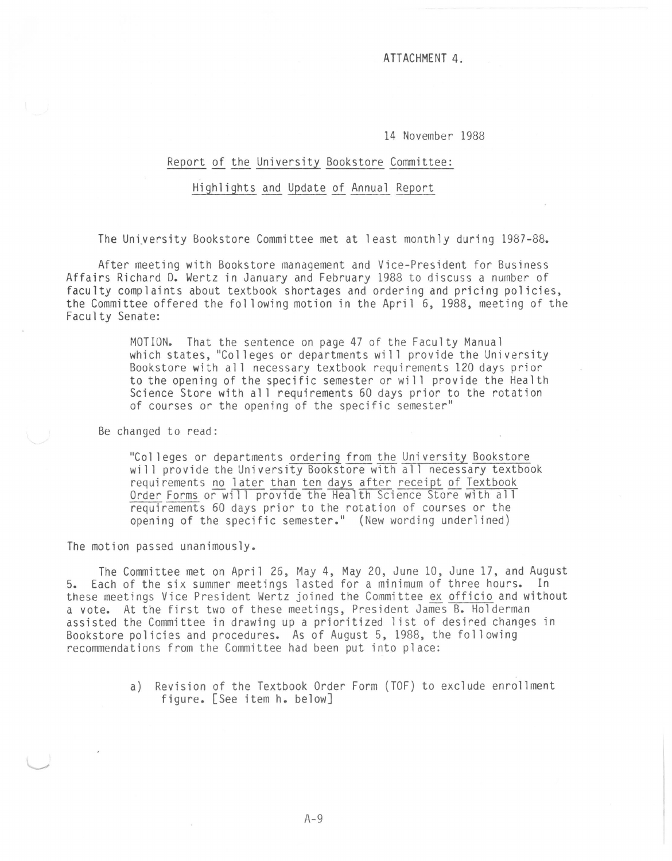ATTACHMENT 4.

14 November 1988

## Report of the University Bookstore Committee:

## Highlights and Update of Annual Report

The University Bookstore Committee met at least monthly during 1987-88.

After meeting with Bookstore management and Vice-President for Business Affairs Richard D. Wertz in January and February 1988 to discuss a number of faculty complaints about textbook shortages and ordering and pricing policies, the Committee offered the fol lowing motion in the April 6, 1988, meeting of the Faculty Senate:

> MOTION. That the sentence on page 47 of the Faculty Manual which states, "Colleges or departments will provide the University Bookstore with all necessary textbook requirements 120 days prior to the opening of the specific semester or will provide the Health Science Store with all requirements 60 days prior to the rotation of courses or the opening of the specific semester"

Be changed to read:

"Colleges or departments ordering from the University Bookstore will provide the University Bookstore with all necessary textbook requirements no later than ten days after receipt of Textbook Order Forms or will provide the Health Science Store with all requirements 60 days prior to the rotation of courses or the opening of the specific semester." (New wording underlined)

The motion passed unanimously.

The Committee met on April 26, May 4, May 20, June 10, June 17, and August 5. Each of the six summer meetings lasted for a minimum of three hours. In these meetings Vice President Wertz joined the Committee ex officio and without a vote. At the first two of these meetings, President James B. Holderman assisted the Committee in drawing up a prioritized list of desired changes in Bookstore policies and procedures. As of August 5, 1988, the fol lowing recommendations from the Committee had been put into place:

> a) Revision of the Textbook Order Form (TOF) to exclude enrollment figure. [See item h. below]